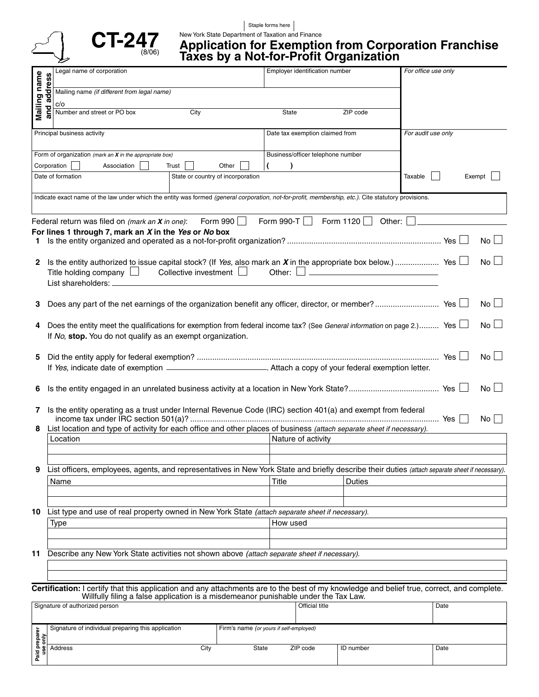



### Staple forms here

New York State Department of Taxation and Finance

### **Application for Exemption from Corporation Franchise Taxes by a Not-for-Profit Organization**

|                                                                                                                                                                                                                                   |                                                                                                                                   | Legal name of corporation                                                                        | Employer identification number                                                                                        |          | For office use only |  |
|-----------------------------------------------------------------------------------------------------------------------------------------------------------------------------------------------------------------------------------|-----------------------------------------------------------------------------------------------------------------------------------|--------------------------------------------------------------------------------------------------|-----------------------------------------------------------------------------------------------------------------------|----------|---------------------|--|
|                                                                                                                                                                                                                                   |                                                                                                                                   |                                                                                                  |                                                                                                                       |          |                     |  |
| Mailing name                                                                                                                                                                                                                      | and address                                                                                                                       | Mailing name (if different from legal name)                                                      |                                                                                                                       |          |                     |  |
|                                                                                                                                                                                                                                   |                                                                                                                                   | c/o<br>Number and street or PO box<br>City                                                       | State                                                                                                                 | ZIP code |                     |  |
|                                                                                                                                                                                                                                   |                                                                                                                                   |                                                                                                  |                                                                                                                       |          |                     |  |
|                                                                                                                                                                                                                                   |                                                                                                                                   | Principal business activity                                                                      | Date tax exemption claimed from                                                                                       |          | For audit use only  |  |
|                                                                                                                                                                                                                                   |                                                                                                                                   |                                                                                                  |                                                                                                                       |          |                     |  |
| Form of organization (mark an $X$ in the appropriate box)                                                                                                                                                                         |                                                                                                                                   |                                                                                                  | Business/officer telephone number                                                                                     |          |                     |  |
|                                                                                                                                                                                                                                   |                                                                                                                                   | Corporation<br>Association<br>Trust<br>Other                                                     |                                                                                                                       |          |                     |  |
|                                                                                                                                                                                                                                   |                                                                                                                                   | Date of formation<br>State or country of incorporation                                           |                                                                                                                       |          | Taxable<br>Exempt   |  |
|                                                                                                                                                                                                                                   |                                                                                                                                   |                                                                                                  |                                                                                                                       |          |                     |  |
| Indicate exact name of the law under which the entity was formed (general corporation, not-for-profit, membership, etc.). Cite statutory provisions.                                                                              |                                                                                                                                   |                                                                                                  |                                                                                                                       |          |                     |  |
|                                                                                                                                                                                                                                   |                                                                                                                                   |                                                                                                  |                                                                                                                       |          |                     |  |
| Form 990-T $\Box$<br>Form 1120<br>Form 990<br>Other:<br>Federal return was filed on (mark an X in one):                                                                                                                           |                                                                                                                                   |                                                                                                  |                                                                                                                       |          |                     |  |
| For lines 1 through 7, mark an X in the Yes or No box<br>No<br>1.                                                                                                                                                                 |                                                                                                                                   |                                                                                                  |                                                                                                                       |          |                     |  |
|                                                                                                                                                                                                                                   |                                                                                                                                   |                                                                                                  |                                                                                                                       |          |                     |  |
| 2                                                                                                                                                                                                                                 | No.                                                                                                                               |                                                                                                  |                                                                                                                       |          |                     |  |
|                                                                                                                                                                                                                                   | Other: $\Box$ $\Box$<br>Collective investment $\Box$<br>Title holding company $\Box$                                              |                                                                                                  |                                                                                                                       |          |                     |  |
|                                                                                                                                                                                                                                   | List shareholders: ______                                                                                                         |                                                                                                  |                                                                                                                       |          |                     |  |
|                                                                                                                                                                                                                                   |                                                                                                                                   |                                                                                                  |                                                                                                                       |          |                     |  |
| 3                                                                                                                                                                                                                                 | No L                                                                                                                              |                                                                                                  |                                                                                                                       |          |                     |  |
| 4                                                                                                                                                                                                                                 | Does the entity meet the qualifications for exemption from federal income tax? (See General information on page 2.) Yes L<br>No l |                                                                                                  |                                                                                                                       |          |                     |  |
|                                                                                                                                                                                                                                   | If No, stop. You do not qualify as an exempt organization.                                                                        |                                                                                                  |                                                                                                                       |          |                     |  |
|                                                                                                                                                                                                                                   |                                                                                                                                   |                                                                                                  |                                                                                                                       |          |                     |  |
| 5                                                                                                                                                                                                                                 |                                                                                                                                   |                                                                                                  |                                                                                                                       |          |                     |  |
|                                                                                                                                                                                                                                   |                                                                                                                                   |                                                                                                  |                                                                                                                       |          |                     |  |
|                                                                                                                                                                                                                                   |                                                                                                                                   |                                                                                                  |                                                                                                                       |          |                     |  |
| 6                                                                                                                                                                                                                                 | No l                                                                                                                              |                                                                                                  |                                                                                                                       |          |                     |  |
| $\mathbf{7}$                                                                                                                                                                                                                      |                                                                                                                                   |                                                                                                  |                                                                                                                       |          |                     |  |
|                                                                                                                                                                                                                                   | Is the entity operating as a trust under Internal Revenue Code (IRC) section 401(a) and exempt from federal<br>No l               |                                                                                                  |                                                                                                                       |          |                     |  |
| 8                                                                                                                                                                                                                                 |                                                                                                                                   |                                                                                                  | List location and type of activity for each office and other places of business (attach separate sheet if necessary). |          |                     |  |
|                                                                                                                                                                                                                                   |                                                                                                                                   | Location                                                                                         | Nature of activity                                                                                                    |          |                     |  |
|                                                                                                                                                                                                                                   |                                                                                                                                   |                                                                                                  |                                                                                                                       |          |                     |  |
| List officers, employees, agents, and representatives in New York State and briefly describe their duties (attach separate sheet if necessary).<br>9                                                                              |                                                                                                                                   |                                                                                                  |                                                                                                                       |          |                     |  |
|                                                                                                                                                                                                                                   |                                                                                                                                   |                                                                                                  | Title                                                                                                                 |          |                     |  |
|                                                                                                                                                                                                                                   |                                                                                                                                   | Name                                                                                             |                                                                                                                       | Duties   |                     |  |
|                                                                                                                                                                                                                                   |                                                                                                                                   |                                                                                                  |                                                                                                                       |          |                     |  |
| 10                                                                                                                                                                                                                                |                                                                                                                                   | List type and use of real property owned in New York State (attach separate sheet if necessary). |                                                                                                                       |          |                     |  |
|                                                                                                                                                                                                                                   |                                                                                                                                   | Type                                                                                             | How used                                                                                                              |          |                     |  |
|                                                                                                                                                                                                                                   |                                                                                                                                   |                                                                                                  |                                                                                                                       |          |                     |  |
|                                                                                                                                                                                                                                   |                                                                                                                                   |                                                                                                  |                                                                                                                       |          |                     |  |
| Describe any New York State activities not shown above (attach separate sheet if necessary).<br>11.                                                                                                                               |                                                                                                                                   |                                                                                                  |                                                                                                                       |          |                     |  |
|                                                                                                                                                                                                                                   |                                                                                                                                   |                                                                                                  |                                                                                                                       |          |                     |  |
|                                                                                                                                                                                                                                   |                                                                                                                                   |                                                                                                  |                                                                                                                       |          |                     |  |
| Certification: I certify that this application and any attachments are to the best of my knowledge and belief true, correct, and complete.<br>Willfully filing a false application is a misdemeanor punishable under the Tax Law. |                                                                                                                                   |                                                                                                  |                                                                                                                       |          |                     |  |
|                                                                                                                                                                                                                                   |                                                                                                                                   | Signature of authorized person                                                                   | Official title                                                                                                        |          | Date                |  |
|                                                                                                                                                                                                                                   |                                                                                                                                   |                                                                                                  |                                                                                                                       |          |                     |  |
| উ                                                                                                                                                                                                                                 |                                                                                                                                   | Signature of individual preparing this application                                               | Firm's name (or yours if self-employed)                                                                               |          |                     |  |

 Address City State ZIP code ID number Date Paid prepare<br>use only